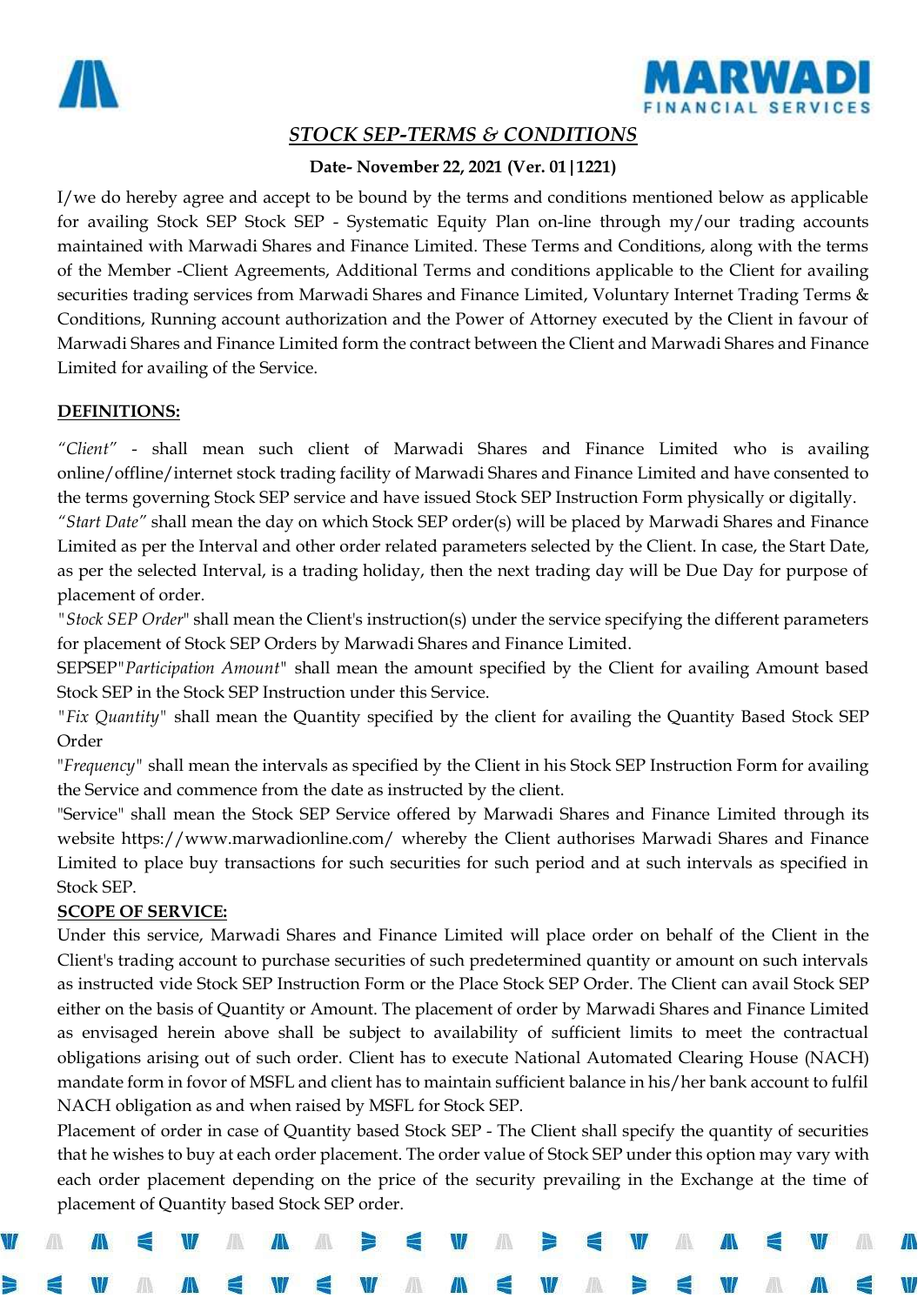



# *STOCK SEP-TERMS & CONDITIONS*

# **Date- November 22, 2021 (Ver. 01|1221)**

I/we do hereby agree and accept to be bound by the terms and conditions mentioned below as applicable for availing Stock SEP Stock SEP - Systematic Equity Plan on-line through my/our trading accounts maintained with Marwadi Shares and Finance Limited. These Terms and Conditions, along with the terms of the Member -Client Agreements, Additional Terms and conditions applicable to the Client for availing securities trading services from Marwadi Shares and Finance Limited, Voluntary Internet Trading Terms & Conditions, Running account authorization and the Power of Attorney executed by the Client in favour of Marwadi Shares and Finance Limited form the contract between the Client and Marwadi Shares and Finance Limited for availing of the Service.

## **DEFINITIONS:**

*"Client"* - shall mean such client of Marwadi Shares and Finance Limited who is availing online/offline/internet stock trading facility of Marwadi Shares and Finance Limited and have consented to the terms governing Stock SEP service and have issued Stock SEP Instruction Form physically or digitally.

*"Start Date"* shall mean the day on which Stock SEP order(s) will be placed by Marwadi Shares and Finance Limited as per the Interval and other order related parameters selected by the Client. In case, the Start Date, as per the selected Interval, is a trading holiday, then the next trading day will be Due Day for purpose of placement of order.

*"Stock SEP Order*" shall mean the Client's instruction(s) under the service specifying the different parameters for placement of Stock SEP Orders by Marwadi Shares and Finance Limited.

SEPSEP*"Participation Amount"* shall mean the amount specified by the Client for availing Amount based Stock SEP in the Stock SEP Instruction under this Service.

*"Fix Quantity"* shall mean the Quantity specified by the client for availing the Quantity Based Stock SEP Order

"*Frequency"* shall mean the intervals as specified by the Client in his Stock SEP Instruction Form for availing the Service and commence from the date as instructed by the client.

"Service" shall mean the Stock SEP Service offered by Marwadi Shares and Finance Limited through its website https://www.marwadionline.com/ whereby the Client authorises Marwadi Shares and Finance Limited to place buy transactions for such securities for such period and at such intervals as specified in Stock SEP.

# **SCOPE OF SERVICE:**

Under this service, Marwadi Shares and Finance Limited will place order on behalf of the Client in the Client's trading account to purchase securities of such predetermined quantity or amount on such intervals as instructed vide Stock SEP Instruction Form or the Place Stock SEP Order. The Client can avail Stock SEP either on the basis of Quantity or Amount. The placement of order by Marwadi Shares and Finance Limited as envisaged herein above shall be subject to availability of sufficient limits to meet the contractual obligations arising out of such order. Client has to execute National Automated Clearing House (NACH) mandate form in fovor of MSFL and client has to maintain sufficient balance in his/her bank account to fulfil NACH obligation as and when raised by MSFL for Stock SEP.

Placement of order in case of Quantity based Stock SEP - The Client shall specify the quantity of securities that he wishes to buy at each order placement. The order value of Stock SEP under this option may vary with each order placement depending on the price of the security prevailing in the Exchange at the time of placement of Quantity based Stock SEP order.

An





Æ

Ж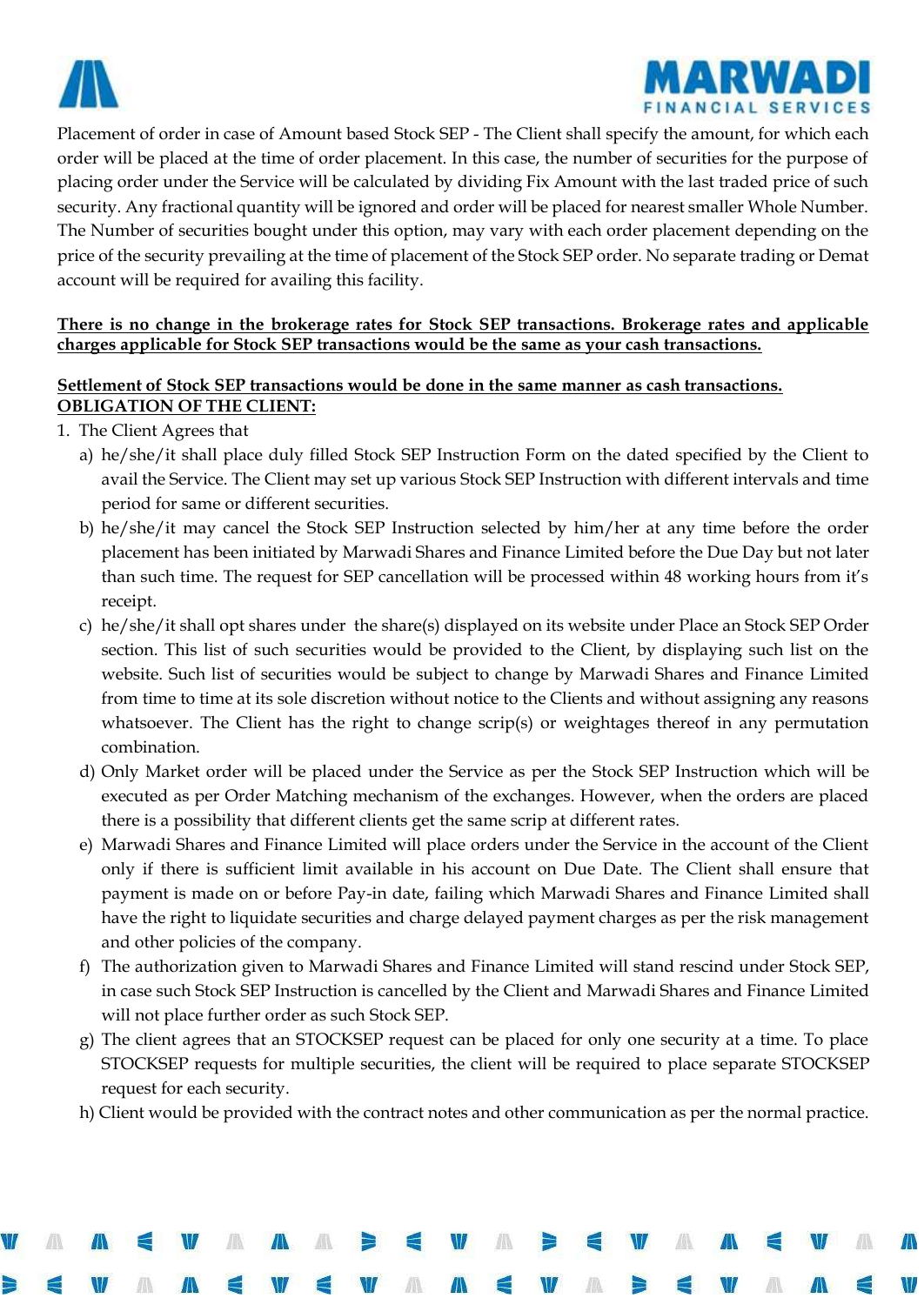



Placement of order in case of Amount based Stock SEP - The Client shall specify the amount, for which each order will be placed at the time of order placement. In this case, the number of securities for the purpose of placing order under the Service will be calculated by dividing Fix Amount with the last traded price of such security. Any fractional quantity will be ignored and order will be placed for nearest smaller Whole Number. The Number of securities bought under this option, may vary with each order placement depending on the price of the security prevailing at the time of placement of the Stock SEP order. No separate trading or Demat account will be required for availing this facility.

#### **There is no change in the brokerage rates for Stock SEP transactions. Brokerage rates and applicable charges applicable for Stock SEP transactions would be the same as your cash transactions.**

# **Settlement of Stock SEP transactions would be done in the same manner as cash transactions. OBLIGATION OF THE CLIENT:**

- 1. The Client Agrees that
	- a) he/she/it shall place duly filled Stock SEP Instruction Form on the dated specified by the Client to avail the Service. The Client may set up various Stock SEP Instruction with different intervals and time period for same or different securities.
	- b) he/she/it may cancel the Stock SEP Instruction selected by him/her at any time before the order placement has been initiated by Marwadi Shares and Finance Limited before the Due Day but not later than such time. The request for SEP cancellation will be processed within 48 working hours from it's receipt.
	- c) he/she/it shall opt shares under the share(s) displayed on its website under Place an Stock SEP Order section. This list of such securities would be provided to the Client, by displaying such list on the website. Such list of securities would be subject to change by Marwadi Shares and Finance Limited from time to time at its sole discretion without notice to the Clients and without assigning any reasons whatsoever. The Client has the right to change scrip(s) or weightages thereof in any permutation combination.
	- d) Only Market order will be placed under the Service as per the Stock SEP Instruction which will be executed as per Order Matching mechanism of the exchanges. However, when the orders are placed there is a possibility that different clients get the same scrip at different rates.
	- e) Marwadi Shares and Finance Limited will place orders under the Service in the account of the Client only if there is sufficient limit available in his account on Due Date. The Client shall ensure that payment is made on or before Pay-in date, failing which Marwadi Shares and Finance Limited shall have the right to liquidate securities and charge delayed payment charges as per the risk management and other policies of the company.
	- f) The authorization given to Marwadi Shares and Finance Limited will stand rescind under Stock SEP, in case such Stock SEP Instruction is cancelled by the Client and Marwadi Shares and Finance Limited will not place further order as such Stock SEP.
	- g) The client agrees that an STOCKSEP request can be placed for only one security at a time. To place STOCKSEP requests for multiple securities, the client will be required to place separate STOCKSEP request for each security.
	- h) Client would be provided with the contract notes and other communication as per the normal practice.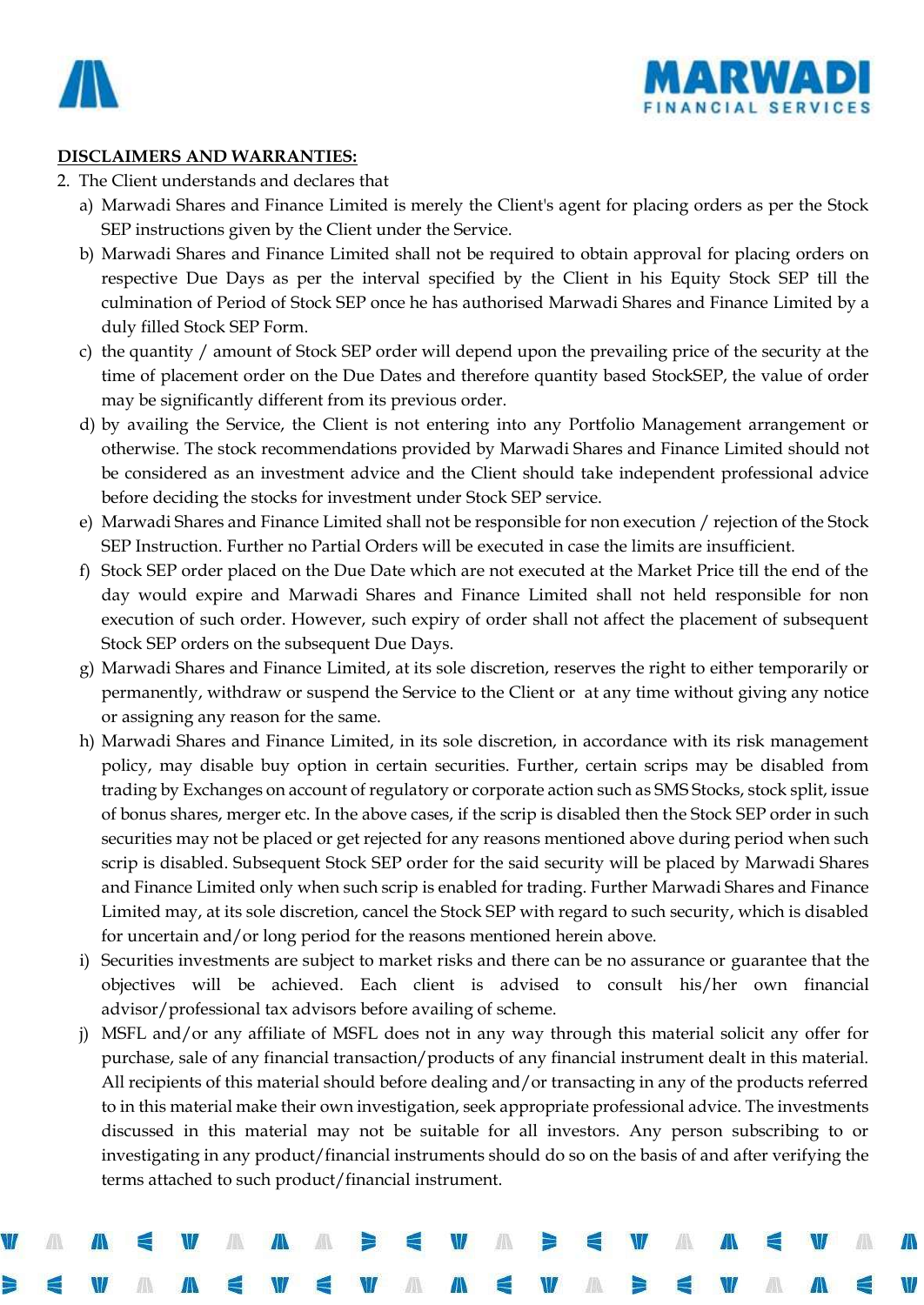



#### **DISCLAIMERS AND WARRANTIES:**

- 2. The Client understands and declares that
	- a) Marwadi Shares and Finance Limited is merely the Client's agent for placing orders as per the Stock SEP instructions given by the Client under the Service.
	- b) Marwadi Shares and Finance Limited shall not be required to obtain approval for placing orders on respective Due Days as per the interval specified by the Client in his Equity Stock SEP till the culmination of Period of Stock SEP once he has authorised Marwadi Shares and Finance Limited by a duly filled Stock SEP Form.
	- c) the quantity / amount of Stock SEP order will depend upon the prevailing price of the security at the time of placement order on the Due Dates and therefore quantity based StockSEP, the value of order may be significantly different from its previous order.
	- d) by availing the Service, the Client is not entering into any Portfolio Management arrangement or otherwise. The stock recommendations provided by Marwadi Shares and Finance Limited should not be considered as an investment advice and the Client should take independent professional advice before deciding the stocks for investment under Stock SEP service.
	- e) Marwadi Shares and Finance Limited shall not be responsible for non execution / rejection of the Stock SEP Instruction. Further no Partial Orders will be executed in case the limits are insufficient.
	- f) Stock SEP order placed on the Due Date which are not executed at the Market Price till the end of the day would expire and Marwadi Shares and Finance Limited shall not held responsible for non execution of such order. However, such expiry of order shall not affect the placement of subsequent Stock SEP orders on the subsequent Due Days.
	- g) Marwadi Shares and Finance Limited, at its sole discretion, reserves the right to either temporarily or permanently, withdraw or suspend the Service to the Client or at any time without giving any notice or assigning any reason for the same.
	- h) Marwadi Shares and Finance Limited, in its sole discretion, in accordance with its risk management policy, may disable buy option in certain securities. Further, certain scrips may be disabled from trading by Exchanges on account of regulatory or corporate action such as SMS Stocks, stock split, issue of bonus shares, merger etc. In the above cases, if the scrip is disabled then the Stock SEP order in such securities may not be placed or get rejected for any reasons mentioned above during period when such scrip is disabled. Subsequent Stock SEP order for the said security will be placed by Marwadi Shares and Finance Limited only when such scrip is enabled for trading. Further Marwadi Shares and Finance Limited may, at its sole discretion, cancel the Stock SEP with regard to such security, which is disabled for uncertain and/or long period for the reasons mentioned herein above.
	- i) Securities investments are subject to market risks and there can be no assurance or guarantee that the objectives will be achieved. Each client is advised to consult his/her own financial advisor/professional tax advisors before availing of scheme.
	- j) MSFL and/or any affiliate of MSFL does not in any way through this material solicit any offer for purchase, sale of any financial transaction/products of any financial instrument dealt in this material. All recipients of this material should before dealing and/or transacting in any of the products referred to in this material make their own investigation, seek appropriate professional advice. The investments discussed in this material may not be suitable for all investors. Any person subscribing to or investigating in any product/financial instruments should do so on the basis of and after verifying the terms attached to such product/financial instrument.

A

∕∆

e

M

A

м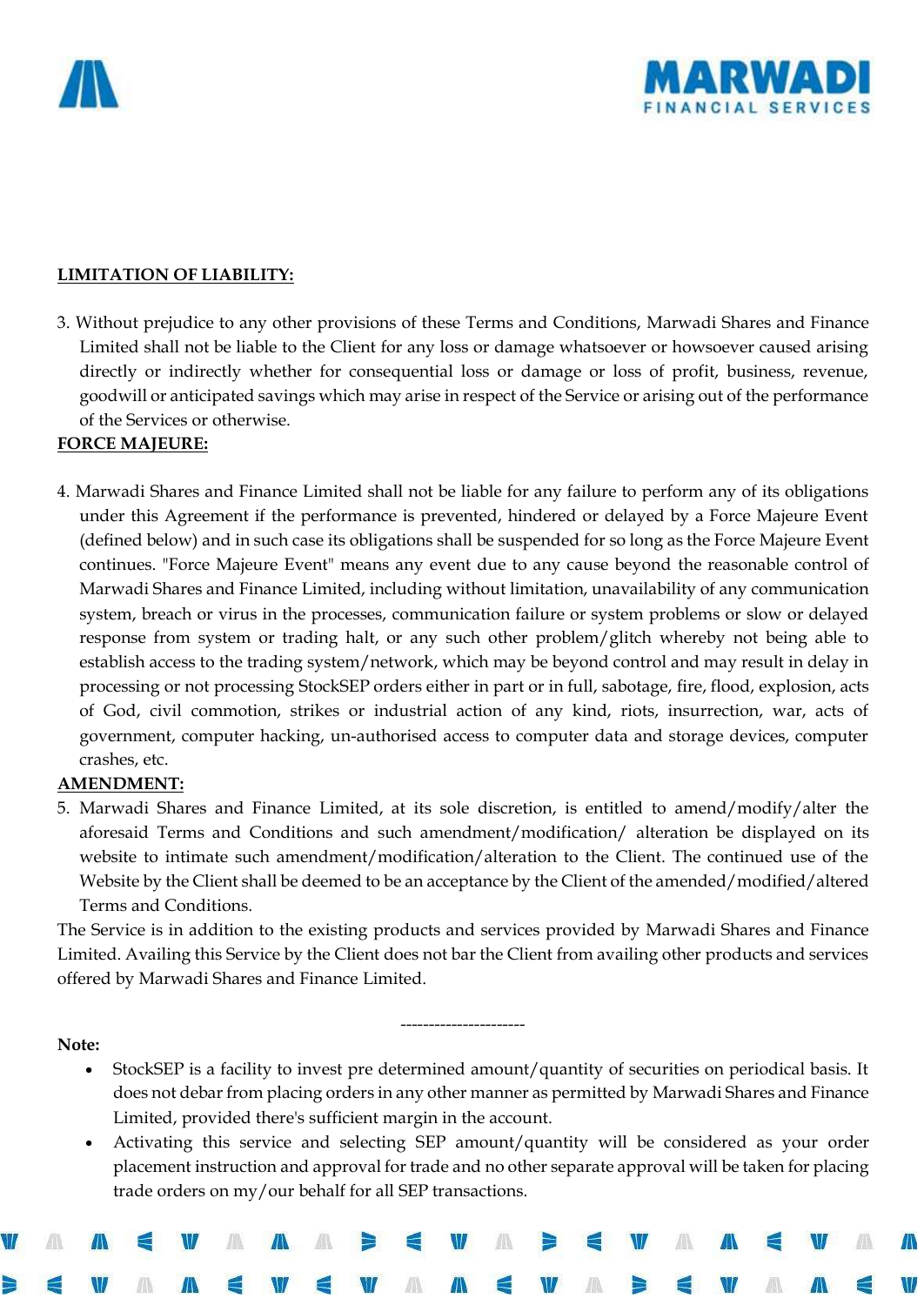



#### **LIMITATION OF LIABILITY:**

3. Without prejudice to any other provisions of these Terms and Conditions, Marwadi Shares and Finance Limited shall not be liable to the Client for any loss or damage whatsoever or howsoever caused arising directly or indirectly whether for consequential loss or damage or loss of profit, business, revenue, goodwill or anticipated savings which may arise in respect of the Service or arising out of the performance of the Services or otherwise.

#### **FORCE MAJEURE:**

4. Marwadi Shares and Finance Limited shall not be liable for any failure to perform any of its obligations under this Agreement if the performance is prevented, hindered or delayed by a Force Majeure Event (defined below) and in such case its obligations shall be suspended for so long as the Force Majeure Event continues. "Force Majeure Event" means any event due to any cause beyond the reasonable control of Marwadi Shares and Finance Limited, including without limitation, unavailability of any communication system, breach or virus in the processes, communication failure or system problems or slow or delayed response from system or trading halt, or any such other problem/glitch whereby not being able to establish access to the trading system/network, which may be beyond control and may result in delay in processing or not processing StockSEP orders either in part or in full, sabotage, fire, flood, explosion, acts of God, civil commotion, strikes or industrial action of any kind, riots, insurrection, war, acts of government, computer hacking, un-authorised access to computer data and storage devices, computer crashes, etc.

## **AMENDMENT:**

5. Marwadi Shares and Finance Limited, at its sole discretion, is entitled to amend/modify/alter the aforesaid Terms and Conditions and such amendment/modification/ alteration be displayed on its website to intimate such amendment/modification/alteration to the Client. The continued use of the Website by the Client shall be deemed to be an acceptance by the Client of the amended/modified/altered Terms and Conditions.

The Service is in addition to the existing products and services provided by Marwadi Shares and Finance Limited. Availing this Service by the Client does not bar the Client from availing other products and services offered by Marwadi Shares and Finance Limited.

----------------------

**Note:**

- StockSEP is a facility to invest pre determined amount/quantity of securities on periodical basis. It does not debar from placing orders in any other manner as permitted by Marwadi Shares and Finance Limited, provided there's sufficient margin in the account.
- Activating this service and selecting SEP amount/quantity will be considered as your order placement instruction and approval for trade and no other separate approval will be taken for placing trade orders on my/our behalf for all SEP transactions.